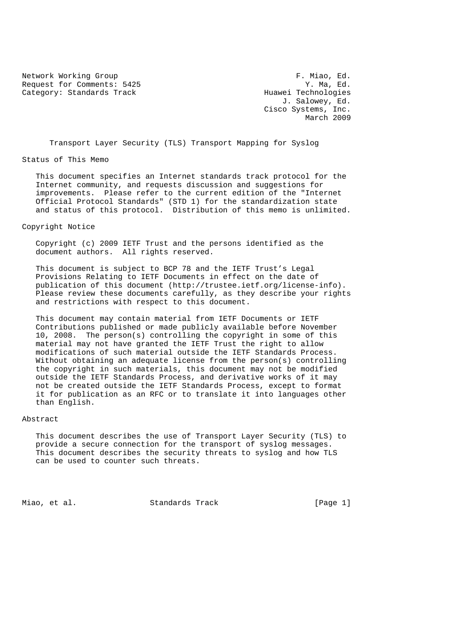Network Working Group<br>Request for Comments: 5425 F. Miao, Ed. (1997) Request for Comments: 5425 Y. Ma, Ed.<br>Category: Standards Track The Muller Huawei Technologies Category: Standards Track

 J. Salowey, Ed. Cisco Systems, Inc. March 2009

Transport Layer Security (TLS) Transport Mapping for Syslog

#### Status of This Memo

 This document specifies an Internet standards track protocol for the Internet community, and requests discussion and suggestions for improvements. Please refer to the current edition of the "Internet Official Protocol Standards" (STD 1) for the standardization state and status of this protocol. Distribution of this memo is unlimited.

#### Copyright Notice

 Copyright (c) 2009 IETF Trust and the persons identified as the document authors. All rights reserved.

 This document is subject to BCP 78 and the IETF Trust's Legal Provisions Relating to IETF Documents in effect on the date of publication of this document (http://trustee.ietf.org/license-info). Please review these documents carefully, as they describe your rights and restrictions with respect to this document.

 This document may contain material from IETF Documents or IETF Contributions published or made publicly available before November 10, 2008. The person(s) controlling the copyright in some of this material may not have granted the IETF Trust the right to allow modifications of such material outside the IETF Standards Process. Without obtaining an adequate license from the person(s) controlling the copyright in such materials, this document may not be modified outside the IETF Standards Process, and derivative works of it may not be created outside the IETF Standards Process, except to format it for publication as an RFC or to translate it into languages other than English.

### Abstract

 This document describes the use of Transport Layer Security (TLS) to provide a secure connection for the transport of syslog messages. This document describes the security threats to syslog and how TLS can be used to counter such threats.

Miao, et al. Standards Track [Page 1]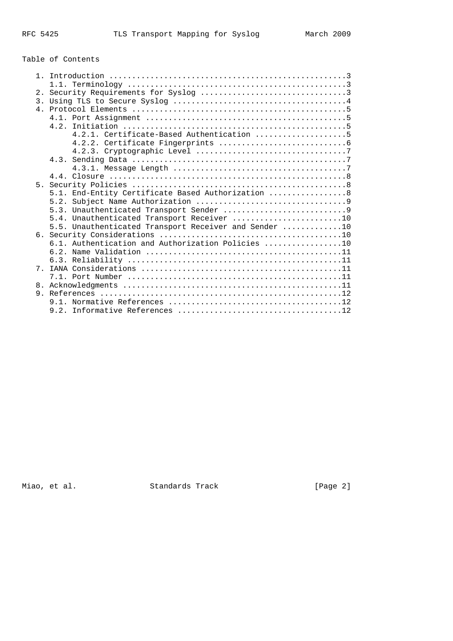# Table of Contents

| 4.2.1. Certificate-Based Authentication 5             |
|-------------------------------------------------------|
|                                                       |
|                                                       |
|                                                       |
|                                                       |
|                                                       |
|                                                       |
| 5.1. End-Entity Certificate Based Authorization  8    |
|                                                       |
|                                                       |
| 5.4. Unauthenticated Transport Receiver 10            |
| 5.5. Unauthenticated Transport Receiver and Sender 10 |
|                                                       |
| 6.1. Authentication and Authorization Policies 10     |
|                                                       |
|                                                       |
|                                                       |
|                                                       |
|                                                       |
|                                                       |
|                                                       |
|                                                       |
|                                                       |

Miao, et al. Standards Track (Page 2)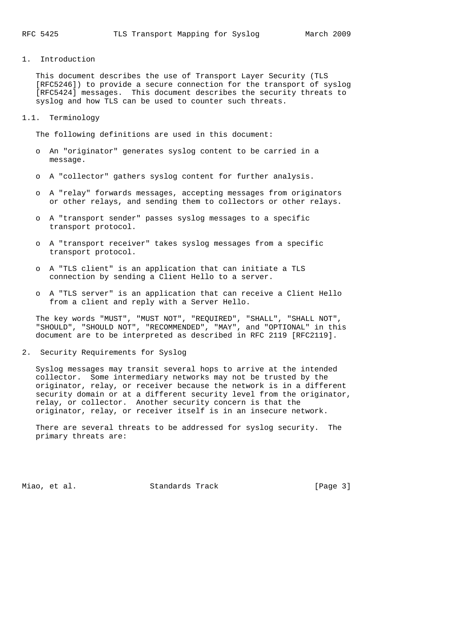1. Introduction

 This document describes the use of Transport Layer Security (TLS [RFC5246]) to provide a secure connection for the transport of syslog [RFC5424] messages. This document describes the security threats to syslog and how TLS can be used to counter such threats.

1.1. Terminology

The following definitions are used in this document:

- o An "originator" generates syslog content to be carried in a message.
- o A "collector" gathers syslog content for further analysis.
- o A "relay" forwards messages, accepting messages from originators or other relays, and sending them to collectors or other relays.
- o A "transport sender" passes syslog messages to a specific transport protocol.
- o A "transport receiver" takes syslog messages from a specific transport protocol.
- o A "TLS client" is an application that can initiate a TLS connection by sending a Client Hello to a server.
- o A "TLS server" is an application that can receive a Client Hello from a client and reply with a Server Hello.

 The key words "MUST", "MUST NOT", "REQUIRED", "SHALL", "SHALL NOT", "SHOULD", "SHOULD NOT", "RECOMMENDED", "MAY", and "OPTIONAL" in this document are to be interpreted as described in RFC 2119 [RFC2119].

2. Security Requirements for Syslog

 Syslog messages may transit several hops to arrive at the intended collector. Some intermediary networks may not be trusted by the originator, relay, or receiver because the network is in a different security domain or at a different security level from the originator, relay, or collector. Another security concern is that the originator, relay, or receiver itself is in an insecure network.

 There are several threats to be addressed for syslog security. The primary threats are:

Miao, et al. Standards Track [Page 3]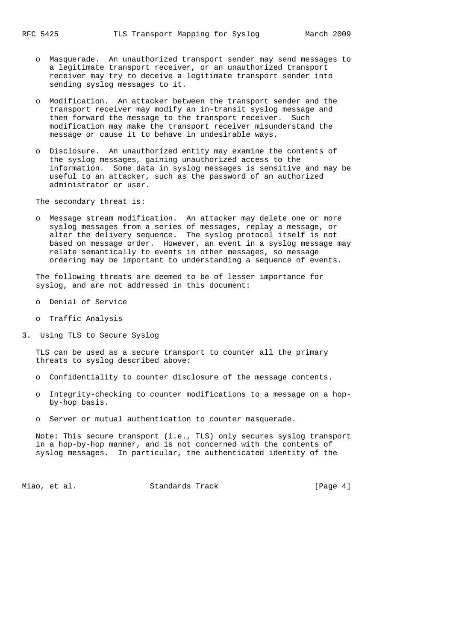- o Masquerade. An unauthorized transport sender may send messages to a legitimate transport receiver, or an unauthorized transport receiver may try to deceive a legitimate transport sender into sending syslog messages to it.
- o Modification. An attacker between the transport sender and the transport receiver may modify an in-transit syslog message and then forward the message to the transport receiver. Such modification may make the transport receiver misunderstand the message or cause it to behave in undesirable ways.
- o Disclosure. An unauthorized entity may examine the contents of the syslog messages, gaining unauthorized access to the information. Some data in syslog messages is sensitive and may be useful to an attacker, such as the password of an authorized administrator or user.

The secondary threat is:

 o Message stream modification. An attacker may delete one or more syslog messages from a series of messages, replay a message, or alter the delivery sequence. The syslog protocol itself is not based on message order. However, an event in a syslog message may relate semantically to events in other messages, so message ordering may be important to understanding a sequence of events.

 The following threats are deemed to be of lesser importance for syslog, and are not addressed in this document:

- o Denial of Service
- o Traffic Analysis
- 3. Using TLS to Secure Syslog

 TLS can be used as a secure transport to counter all the primary threats to syslog described above:

- o Confidentiality to counter disclosure of the message contents.
- o Integrity-checking to counter modifications to a message on a hop by-hop basis.
- o Server or mutual authentication to counter masquerade.

 Note: This secure transport (i.e., TLS) only secures syslog transport in a hop-by-hop manner, and is not concerned with the contents of syslog messages. In particular, the authenticated identity of the

Miao, et al. Standards Track [Page 4]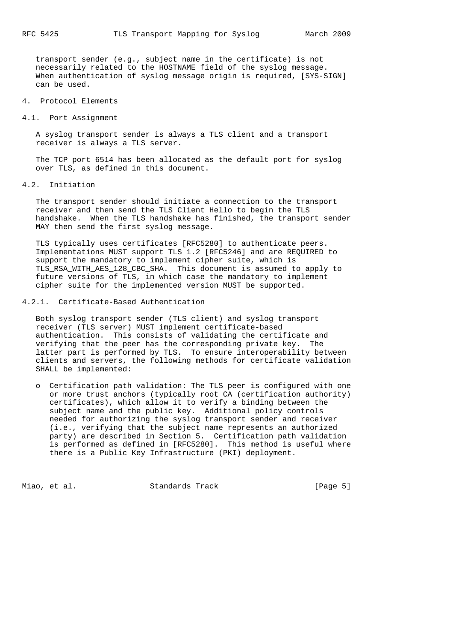transport sender (e.g., subject name in the certificate) is not necessarily related to the HOSTNAME field of the syslog message. When authentication of syslog message origin is required, [SYS-SIGN] can be used.

#### 4. Protocol Elements

#### 4.1. Port Assignment

 A syslog transport sender is always a TLS client and a transport receiver is always a TLS server.

 The TCP port 6514 has been allocated as the default port for syslog over TLS, as defined in this document.

4.2. Initiation

 The transport sender should initiate a connection to the transport receiver and then send the TLS Client Hello to begin the TLS handshake. When the TLS handshake has finished, the transport sender MAY then send the first syslog message.

 TLS typically uses certificates [RFC5280] to authenticate peers. Implementations MUST support TLS 1.2 [RFC5246] and are REQUIRED to support the mandatory to implement cipher suite, which is TLS RSA WITH\_AES\_128\_CBC\_SHA. This document is assumed to apply to future versions of TLS, in which case the mandatory to implement cipher suite for the implemented version MUST be supported.

4.2.1. Certificate-Based Authentication

 Both syslog transport sender (TLS client) and syslog transport receiver (TLS server) MUST implement certificate-based authentication. This consists of validating the certificate and verifying that the peer has the corresponding private key. The latter part is performed by TLS. To ensure interoperability between clients and servers, the following methods for certificate validation SHALL be implemented:

 o Certification path validation: The TLS peer is configured with one or more trust anchors (typically root CA (certification authority) certificates), which allow it to verify a binding between the subject name and the public key. Additional policy controls needed for authorizing the syslog transport sender and receiver (i.e., verifying that the subject name represents an authorized party) are described in Section 5. Certification path validation is performed as defined in [RFC5280]. This method is useful where there is a Public Key Infrastructure (PKI) deployment.

Miao, et al. Standards Track [Page 5]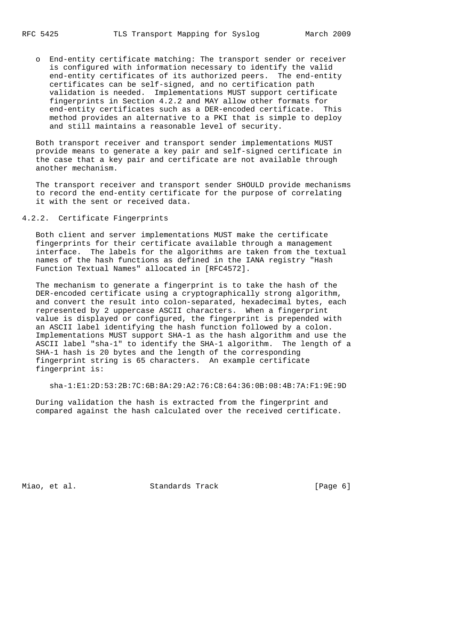o End-entity certificate matching: The transport sender or receiver is configured with information necessary to identify the valid end-entity certificates of its authorized peers. The end-entity certificates can be self-signed, and no certification path validation is needed. Implementations MUST support certificate fingerprints in Section 4.2.2 and MAY allow other formats for end-entity certificates such as a DER-encoded certificate. This method provides an alternative to a PKI that is simple to deploy and still maintains a reasonable level of security.

 Both transport receiver and transport sender implementations MUST provide means to generate a key pair and self-signed certificate in the case that a key pair and certificate are not available through another mechanism.

 The transport receiver and transport sender SHOULD provide mechanisms to record the end-entity certificate for the purpose of correlating it with the sent or received data.

## 4.2.2. Certificate Fingerprints

 Both client and server implementations MUST make the certificate fingerprints for their certificate available through a management interface. The labels for the algorithms are taken from the textual names of the hash functions as defined in the IANA registry "Hash Function Textual Names" allocated in [RFC4572].

 The mechanism to generate a fingerprint is to take the hash of the DER-encoded certificate using a cryptographically strong algorithm, and convert the result into colon-separated, hexadecimal bytes, each represented by 2 uppercase ASCII characters. When a fingerprint value is displayed or configured, the fingerprint is prepended with an ASCII label identifying the hash function followed by a colon. Implementations MUST support SHA-1 as the hash algorithm and use the ASCII label "sha-1" to identify the SHA-1 algorithm. The length of a SHA-1 hash is 20 bytes and the length of the corresponding fingerprint string is 65 characters. An example certificate fingerprint is:

sha-1:E1:2D:53:2B:7C:6B:8A:29:A2:76:C8:64:36:0B:08:4B:7A:F1:9E:9D

 During validation the hash is extracted from the fingerprint and compared against the hash calculated over the received certificate.

Miao, et al. Standards Track [Page 6]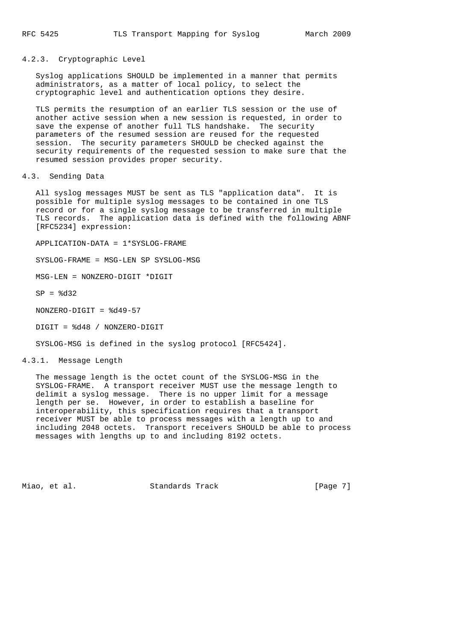4.2.3. Cryptographic Level

 Syslog applications SHOULD be implemented in a manner that permits administrators, as a matter of local policy, to select the cryptographic level and authentication options they desire.

 TLS permits the resumption of an earlier TLS session or the use of another active session when a new session is requested, in order to save the expense of another full TLS handshake. The security parameters of the resumed session are reused for the requested session. The security parameters SHOULD be checked against the security requirements of the requested session to make sure that the resumed session provides proper security.

4.3. Sending Data

 All syslog messages MUST be sent as TLS "application data". It is possible for multiple syslog messages to be contained in one TLS record or for a single syslog message to be transferred in multiple TLS records. The application data is defined with the following ABNF [RFC5234] expression:

APPLICATION-DATA = 1\*SYSLOG-FRAME

SYSLOG-FRAME = MSG-LEN SP SYSLOG-MSG

MSG-LEN = NONZERO-DIGIT \*DIGIT

 $SP =  $8d32$$ 

NONZERO-DIGIT = %d49-57

DIGIT = %d48 / NONZERO-DIGIT

SYSLOG-MSG is defined in the syslog protocol [RFC5424].

4.3.1. Message Length

 The message length is the octet count of the SYSLOG-MSG in the SYSLOG-FRAME. A transport receiver MUST use the message length to delimit a syslog message. There is no upper limit for a message length per se. However, in order to establish a baseline for interoperability, this specification requires that a transport receiver MUST be able to process messages with a length up to and including 2048 octets. Transport receivers SHOULD be able to process messages with lengths up to and including 8192 octets.

Miao, et al. Standards Track [Page 7]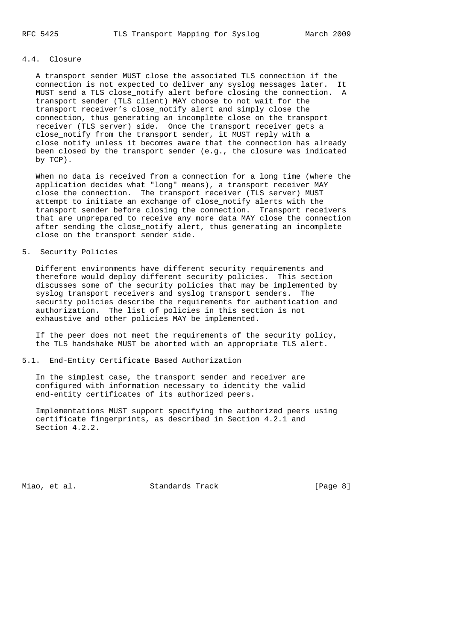# 4.4. Closure

 A transport sender MUST close the associated TLS connection if the connection is not expected to deliver any syslog messages later. It MUST send a TLS close\_notify alert before closing the connection. A transport sender (TLS client) MAY choose to not wait for the transport receiver's close\_notify alert and simply close the connection, thus generating an incomplete close on the transport receiver (TLS server) side. Once the transport receiver gets a close notify from the transport sender, it MUST reply with a close notify unless it becomes aware that the connection has already been closed by the transport sender (e.g., the closure was indicated by TCP).

 When no data is received from a connection for a long time (where the application decides what "long" means), a transport receiver MAY close the connection. The transport receiver (TLS server) MUST attempt to initiate an exchange of close\_notify alerts with the transport sender before closing the connection. Transport receivers that are unprepared to receive any more data MAY close the connection after sending the close\_notify alert, thus generating an incomplete close on the transport sender side.

5. Security Policies

 Different environments have different security requirements and therefore would deploy different security policies. This section discusses some of the security policies that may be implemented by syslog transport receivers and syslog transport senders. The security policies describe the requirements for authentication and authorization. The list of policies in this section is not exhaustive and other policies MAY be implemented.

 If the peer does not meet the requirements of the security policy, the TLS handshake MUST be aborted with an appropriate TLS alert.

#### 5.1. End-Entity Certificate Based Authorization

 In the simplest case, the transport sender and receiver are configured with information necessary to identity the valid end-entity certificates of its authorized peers.

 Implementations MUST support specifying the authorized peers using certificate fingerprints, as described in Section 4.2.1 and Section 4.2.2.

Miao, et al. Standards Track [Page 8]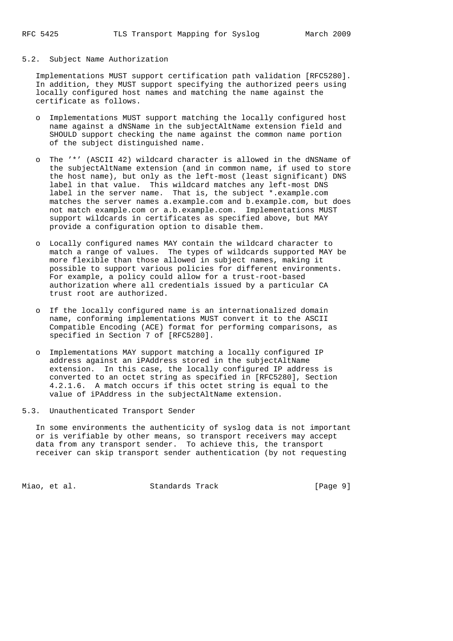### 5.2. Subject Name Authorization

 Implementations MUST support certification path validation [RFC5280]. In addition, they MUST support specifying the authorized peers using locally configured host names and matching the name against the certificate as follows.

- o Implementations MUST support matching the locally configured host name against a dNSName in the subjectAltName extension field and SHOULD support checking the name against the common name portion of the subject distinguished name.
- o The '\*' (ASCII 42) wildcard character is allowed in the dNSName of the subjectAltName extension (and in common name, if used to store the host name), but only as the left-most (least significant) DNS label in that value. This wildcard matches any left-most DNS label in the server name. That is, the subject \*.example.com matches the server names a.example.com and b.example.com, but does not match example.com or a.b.example.com. Implementations MUST support wildcards in certificates as specified above, but MAY provide a configuration option to disable them.
- o Locally configured names MAY contain the wildcard character to match a range of values. The types of wildcards supported MAY be more flexible than those allowed in subject names, making it possible to support various policies for different environments. For example, a policy could allow for a trust-root-based authorization where all credentials issued by a particular CA trust root are authorized.
	- o If the locally configured name is an internationalized domain name, conforming implementations MUST convert it to the ASCII Compatible Encoding (ACE) format for performing comparisons, as specified in Section 7 of [RFC5280].
	- o Implementations MAY support matching a locally configured IP address against an iPAddress stored in the subjectAltName extension. In this case, the locally configured IP address is converted to an octet string as specified in [RFC5280], Section 4.2.1.6. A match occurs if this octet string is equal to the value of iPAddress in the subjectAltName extension.
- 5.3. Unauthenticated Transport Sender

 In some environments the authenticity of syslog data is not important or is verifiable by other means, so transport receivers may accept data from any transport sender. To achieve this, the transport receiver can skip transport sender authentication (by not requesting

Miao, et al. Standards Track [Page 9]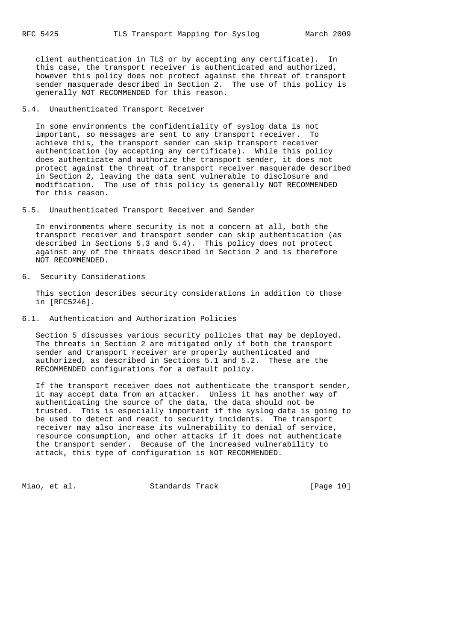client authentication in TLS or by accepting any certificate). In this case, the transport receiver is authenticated and authorized, however this policy does not protect against the threat of transport sender masquerade described in Section 2. The use of this policy is generally NOT RECOMMENDED for this reason.

### 5.4. Unauthenticated Transport Receiver

 In some environments the confidentiality of syslog data is not important, so messages are sent to any transport receiver. To achieve this, the transport sender can skip transport receiver authentication (by accepting any certificate). While this policy does authenticate and authorize the transport sender, it does not protect against the threat of transport receiver masquerade described in Section 2, leaving the data sent vulnerable to disclosure and modification. The use of this policy is generally NOT RECOMMENDED for this reason.

5.5. Unauthenticated Transport Receiver and Sender

 In environments where security is not a concern at all, both the transport receiver and transport sender can skip authentication (as described in Sections 5.3 and 5.4). This policy does not protect against any of the threats described in Section 2 and is therefore NOT RECOMMENDED.

6. Security Considerations

 This section describes security considerations in addition to those in [RFC5246].

6.1. Authentication and Authorization Policies

 Section 5 discusses various security policies that may be deployed. The threats in Section 2 are mitigated only if both the transport sender and transport receiver are properly authenticated and authorized, as described in Sections 5.1 and 5.2. These are the RECOMMENDED configurations for a default policy.

 If the transport receiver does not authenticate the transport sender, it may accept data from an attacker. Unless it has another way of authenticating the source of the data, the data should not be trusted. This is especially important if the syslog data is going to be used to detect and react to security incidents. The transport receiver may also increase its vulnerability to denial of service, resource consumption, and other attacks if it does not authenticate the transport sender. Because of the increased vulnerability to attack, this type of configuration is NOT RECOMMENDED.

Miao, et al. Standards Track [Page 10]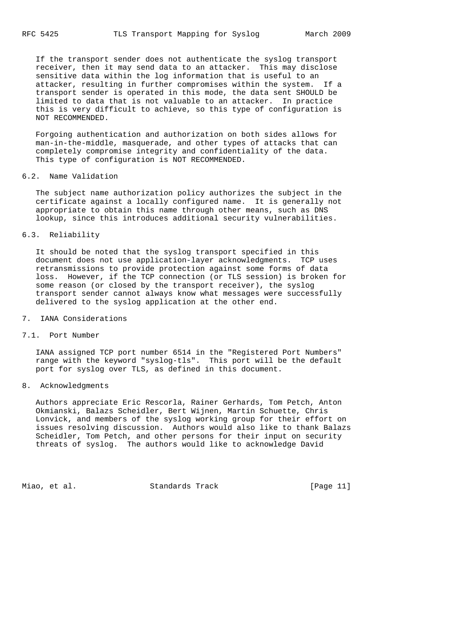If the transport sender does not authenticate the syslog transport receiver, then it may send data to an attacker. This may disclose sensitive data within the log information that is useful to an attacker, resulting in further compromises within the system. If a transport sender is operated in this mode, the data sent SHOULD be limited to data that is not valuable to an attacker. In practice this is very difficult to achieve, so this type of configuration is NOT RECOMMENDED.

 Forgoing authentication and authorization on both sides allows for man-in-the-middle, masquerade, and other types of attacks that can completely compromise integrity and confidentiality of the data. This type of configuration is NOT RECOMMENDED.

### 6.2. Name Validation

 The subject name authorization policy authorizes the subject in the certificate against a locally configured name. It is generally not appropriate to obtain this name through other means, such as DNS lookup, since this introduces additional security vulnerabilities.

### 6.3. Reliability

 It should be noted that the syslog transport specified in this document does not use application-layer acknowledgments. TCP uses retransmissions to provide protection against some forms of data loss. However, if the TCP connection (or TLS session) is broken for some reason (or closed by the transport receiver), the syslog transport sender cannot always know what messages were successfully delivered to the syslog application at the other end.

#### 7. IANA Considerations

#### 7.1. Port Number

 IANA assigned TCP port number 6514 in the "Registered Port Numbers" range with the keyword "syslog-tls". This port will be the default port for syslog over TLS, as defined in this document.

### 8. Acknowledgments

 Authors appreciate Eric Rescorla, Rainer Gerhards, Tom Petch, Anton Okmianski, Balazs Scheidler, Bert Wijnen, Martin Schuette, Chris Lonvick, and members of the syslog working group for their effort on issues resolving discussion. Authors would also like to thank Balazs Scheidler, Tom Petch, and other persons for their input on security threats of syslog. The authors would like to acknowledge David

Miao, et al. Standards Track [Page 11]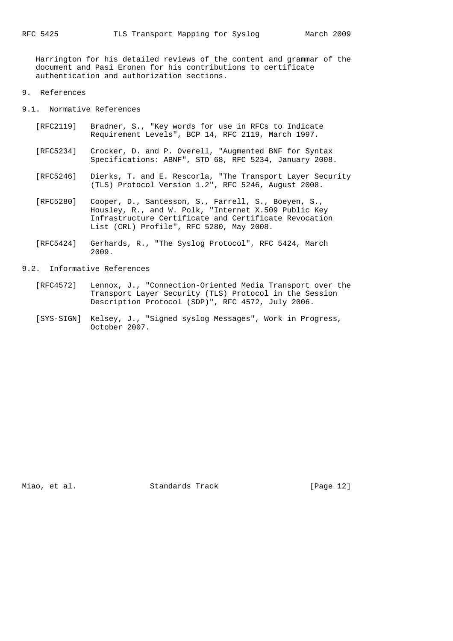Harrington for his detailed reviews of the content and grammar of the document and Pasi Eronen for his contributions to certificate authentication and authorization sections.

### 9. References

9.1. Normative References

- [RFC2119] Bradner, S., "Key words for use in RFCs to Indicate Requirement Levels", BCP 14, RFC 2119, March 1997.
- [RFC5234] Crocker, D. and P. Overell, "Augmented BNF for Syntax Specifications: ABNF", STD 68, RFC 5234, January 2008.
- [RFC5246] Dierks, T. and E. Rescorla, "The Transport Layer Security (TLS) Protocol Version 1.2", RFC 5246, August 2008.
- [RFC5280] Cooper, D., Santesson, S., Farrell, S., Boeyen, S., Housley, R., and W. Polk, "Internet X.509 Public Key Infrastructure Certificate and Certificate Revocation List (CRL) Profile", RFC 5280, May 2008.
- [RFC5424] Gerhards, R., "The Syslog Protocol", RFC 5424, March 2009.

# 9.2. Informative References

- [RFC4572] Lennox, J., "Connection-Oriented Media Transport over the Transport Layer Security (TLS) Protocol in the Session Description Protocol (SDP)", RFC 4572, July 2006.
- [SYS-SIGN] Kelsey, J., "Signed syslog Messages", Work in Progress, October 2007.

Miao, et al. Standards Track [Page 12]